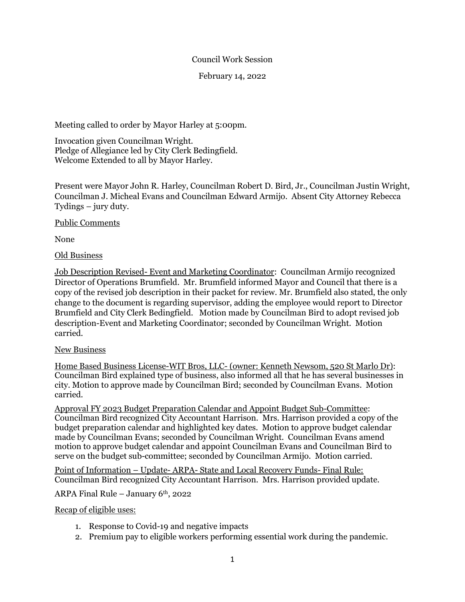## Council Work Session

February 14, 2022

Meeting called to order by Mayor Harley at 5:00pm.

Invocation given Councilman Wright. Pledge of Allegiance led by City Clerk Bedingfield. Welcome Extended to all by Mayor Harley.

Present were Mayor John R. Harley, Councilman Robert D. Bird, Jr., Councilman Justin Wright, Councilman J. Micheal Evans and Councilman Edward Armijo. Absent City Attorney Rebecca Tydings – jury duty.

Public Comments

None

Old Business

Job Description Revised- Event and Marketing Coordinator: Councilman Armijo recognized Director of Operations Brumfield. Mr. Brumfield informed Mayor and Council that there is a copy of the revised job description in their packet for review. Mr. Brumfield also stated, the only change to the document is regarding supervisor, adding the employee would report to Director Brumfield and City Clerk Bedingfield. Motion made by Councilman Bird to adopt revised job description-Event and Marketing Coordinator; seconded by Councilman Wright. Motion carried.

## New Business

Home Based Business License-WIT Bros, LLC- (owner: Kenneth Newsom, 520 St Marlo Dr): Councilman Bird explained type of business, also informed all that he has several businesses in city. Motion to approve made by Councilman Bird; seconded by Councilman Evans. Motion carried.

Approval FY 2023 Budget Preparation Calendar and Appoint Budget Sub-Committee: Councilman Bird recognized City Accountant Harrison. Mrs. Harrison provided a copy of the budget preparation calendar and highlighted key dates. Motion to approve budget calendar made by Councilman Evans; seconded by Councilman Wright. Councilman Evans amend motion to approve budget calendar and appoint Councilman Evans and Councilman Bird to serve on the budget sub-committee; seconded by Councilman Armijo. Motion carried.

Point of Information – Update- ARPA- State and Local Recovery Funds- Final Rule: Councilman Bird recognized City Accountant Harrison. Mrs. Harrison provided update.

ARPA Final Rule – January  $6<sup>th</sup>$ , 2022

Recap of eligible uses:

- 1. Response to Covid-19 and negative impacts
- 2. Premium pay to eligible workers performing essential work during the pandemic.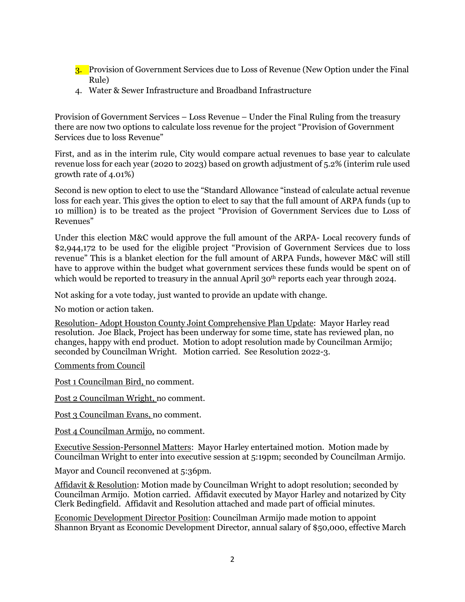- 3. Provision of Government Services due to Loss of Revenue (New Option under the Final Rule)
- 4. Water & Sewer Infrastructure and Broadband Infrastructure

Provision of Government Services – Loss Revenue – Under the Final Ruling from the treasury there are now two options to calculate loss revenue for the project "Provision of Government Services due to loss Revenue"

First, and as in the interim rule, City would compare actual revenues to base year to calculate revenue loss for each year (2020 to 2023) based on growth adjustment of 5.2% (interim rule used growth rate of 4.01%)

Second is new option to elect to use the "Standard Allowance "instead of calculate actual revenue loss for each year. This gives the option to elect to say that the full amount of ARPA funds (up to 10 million) is to be treated as the project "Provision of Government Services due to Loss of Revenues"

Under this election M&C would approve the full amount of the ARPA- Local recovery funds of \$2,944,172 to be used for the eligible project "Provision of Government Services due to loss revenue" This is a blanket election for the full amount of ARPA Funds, however M&C will still have to approve within the budget what government services these funds would be spent on of which would be reported to treasury in the annual April 30<sup>th</sup> reports each year through 2024.

Not asking for a vote today, just wanted to provide an update with change.

No motion or action taken.

Resolution- Adopt Houston County Joint Comprehensive Plan Update: Mayor Harley read resolution. Joe Black, Project has been underway for some time, state has reviewed plan, no changes, happy with end product. Motion to adopt resolution made by Councilman Armijo; seconded by Councilman Wright. Motion carried. See Resolution 2022-3.

Comments from Council

Post 1 Councilman Bird, no comment.

Post 2 Councilman Wright, no comment.

Post 3 Councilman Evans, no comment.

Post 4 Councilman Armijo, no comment.

Executive Session-Personnel Matters: Mayor Harley entertained motion. Motion made by Councilman Wright to enter into executive session at 5:19pm; seconded by Councilman Armijo.

Mayor and Council reconvened at 5:36pm.

Affidavit & Resolution: Motion made by Councilman Wright to adopt resolution; seconded by Councilman Armijo. Motion carried. Affidavit executed by Mayor Harley and notarized by City Clerk Bedingfield. Affidavit and Resolution attached and made part of official minutes.

Economic Development Director Position: Councilman Armijo made motion to appoint Shannon Bryant as Economic Development Director, annual salary of \$50,000, effective March